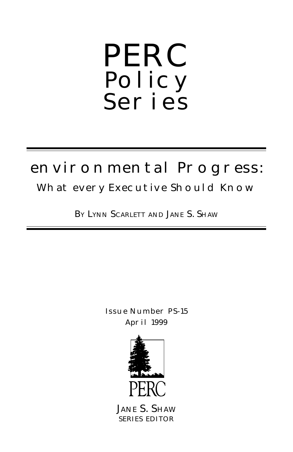# PERC **POLICY SERIES**

# environmental Progress: WHAT EVERY EXECUTIVE SHOULD KNOW

BY LYNN SCARLETT AND JANE S. SHAW

Issue Number PS-15 **APRIL 1999** 



JANE S. SHAW SERIES EDITOR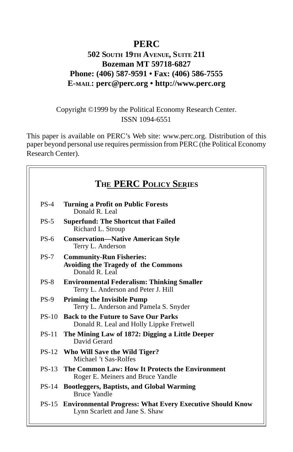# **PERC**

#### **502 SOUTH 19TH AVENUE, SUITE 211 Bozeman MT 59718-6827 Phone: (406) 587-9591 • Fax: (406) 586-7555 E-MAIL: perc@perc.org • http://www.perc.org**

#### Copyright ©1999 by the Political Economy Research Center. ISSN 1094-6551

This paper is available on PERC's Web site: www.perc.org. Distribution of this paper beyond personal use requires permission from PERC (the Political Economy Research Center).

 $\overline{\mathbf{u}}$ 

|         | THE PERC POLICY SERIES                                                                            |
|---------|---------------------------------------------------------------------------------------------------|
| $PS-4$  | <b>Turning a Profit on Public Forests</b><br>Donald R Leal                                        |
| $PS-5$  | <b>Superfund: The Shortcut that Failed</b><br>Richard L. Stroup                                   |
| $PS-6$  | <b>Conservation-Native American Style</b><br>Terry L. Anderson                                    |
| $PS-7$  | <b>Community-Run Fisheries:</b><br>Avoiding the Tragedy of the Commons<br>Donald R. Leal          |
| $PS-8$  | <b>Environmental Federalism: Thinking Smaller</b><br>Terry L. Anderson and Peter J. Hill          |
| $PS-9$  | <b>Priming the Invisible Pump</b><br>Terry L. Anderson and Pamela S. Snyder                       |
|         | <b>PS-10</b> Back to the Future to Save Our Parks<br>Donald R. Leal and Holly Lippke Fretwell     |
| $PS-11$ | The Mining Law of 1872: Digging a Little Deeper<br>David Gerard                                   |
|         | PS-12 Who Will Save the Wild Tiger?<br>Michael 't Sas-Rolfes                                      |
|         | <b>PS-13</b> The Common Law: How It Protects the Environment<br>Roger E. Meiners and Bruce Yandle |
|         | PS-14 Bootleggers, Baptists, and Global Warming<br><b>Bruce Yandle</b>                            |
|         | PS-15 Environmental Progress: What Every Executive Should Know<br>Lynn Scarlett and Jane S. Shaw  |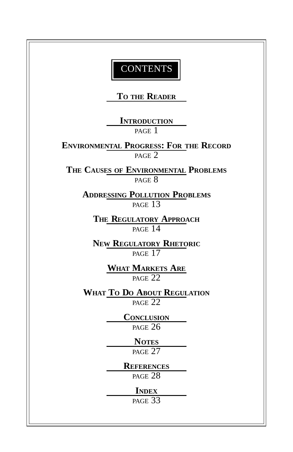| <b>CONTENTS</b><br>TO THE READER                        |
|---------------------------------------------------------|
| <b>INTRODUCTION</b><br>PAGE 1                           |
| <b>ENVIRONMENTAL PROGRESS: FOR THE RECORD</b><br>PAGE 2 |
| THE CAUSES OF ENVIRONMENTAL PROBLEMS<br>PAGE 8          |
| <b>ADDRESSING POLLUTION PROBLEMS</b><br>PAGE 13         |
| THE REGULATORY APPROACH<br>PAGE $14$                    |
| <b>NEW REGULATORY RHETORIC</b><br>PAGE 17               |
| <b>WHAT MARKETS ARE</b><br>$PAGE$ <sub>22</sub>         |
| <b>WHAT TO DO ABOUT REGULATION</b><br>PAGE $22$         |
| <b>CONCLUSION</b><br>PAGE 26                            |
| <b>NOTES</b>                                            |
| PAGE 27                                                 |
| <b>REFERENCES</b><br>PAGE 28                            |
| <b>INDEX</b><br>PAGE 33                                 |
|                                                         |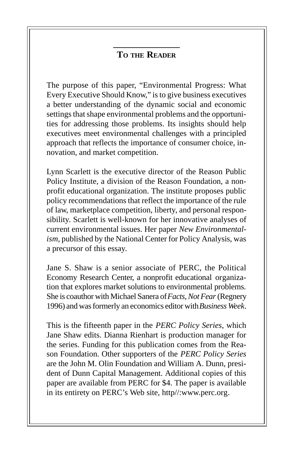# **TO THE READER**

The purpose of this paper, "Environmental Progress: What Every Executive Should Know," is to give business executives a better understanding of the dynamic social and economic settings that shape environmental problems and the opportunities for addressing those problems. Its insights should help executives meet environmental challenges with a principled approach that reflects the importance of consumer choice, innovation, and market competition.

Lynn Scarlett is the executive director of the Reason Public Policy Institute, a division of the Reason Foundation, a nonprofit educational organization. The institute proposes public policy recommendations that reflect the importance of the rule of law, marketplace competition, liberty, and personal responsibility. Scarlett is well-known for her innovative analyses of current environmental issues. Her paper *New Environmentalism*, published by the National Center for Policy Analysis, was a precursor of this essay.

Jane S. Shaw is a senior associate of PERC, the Political Economy Research Center, a nonprofit educational organization that explores market solutions to environmental problems. She is coauthor with Michael Sanera of *Facts, Not Fear* (Regnery 1996) and was formerly an economics editor with *Business Week*.

This is the fifteenth paper in the *PERC Policy Series*, which Jane Shaw edits. Dianna Rienhart is production manager for the series. Funding for this publication comes from the Reason Foundation. Other supporters of the *PERC Policy Series* are the John M. Olin Foundation and William A. Dunn, president of Dunn Capital Management. Additional copies of this paper are available from PERC for \$4. The paper is available in its entirety on PERC's Web site, http//:www.perc.org.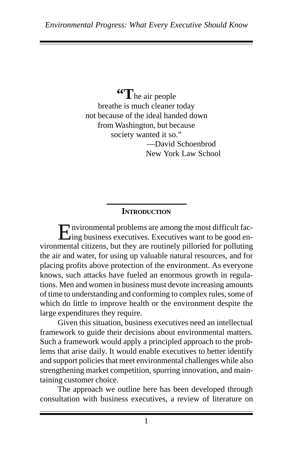**"T**he air people breathe is much cleaner today not because of the ideal handed down from Washington, but because society wanted it so." —David Schoenbrod New York Law School

#### **INTRODUCTION**

Environmental problems are among the most difficult fac-ing business executives. Executives want to be good environmental citizens, but they are routinely pilloried for polluting the air and water, for using up valuable natural resources, and for placing profits above protection of the environment. As everyone knows, such attacks have fueled an enormous growth in regulations. Men and women in business must devote increasing amounts of time to understanding and conforming to complex rules, some of which do little to improve health or the environment despite the large expenditures they require.

Given this situation, business executives need an intellectual framework to guide their decisions about environmental matters. Such a framework would apply a principled approach to the problems that arise daily. It would enable executives to better identify and support policies that meet environmental challenges while also strengthening market competition, spurring innovation, and maintaining customer choice.

The approach we outline here has been developed through consultation with business executives, a review of literature on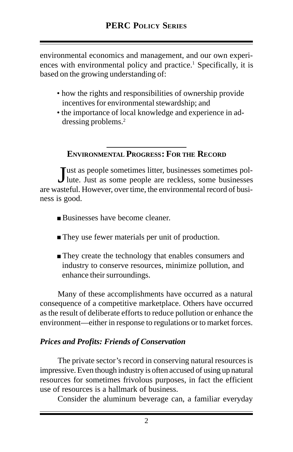environmental economics and management, and our own experiences with environmental policy and practice.<sup>1</sup> Specifically, it is based on the growing understanding of:

- how the rights and responsibilities of ownership provide incentives for environmental stewardship; and
- the importance of local knowledge and experience in addressing problems.2

# **ENVIRONMENTAL PROGRESS: FOR THE RECORD**

Just as people sometimes litter, businesses sometimes pol-<br>lute. Just as some people are reckless, some businesses lute. Just as some people are reckless, some businesses are wasteful. However, over time, the environmental record of business is good.

- Businesses have become cleaner.
- They use fewer materials per unit of production.
- They create the technology that enables consumers and industry to conserve resources, minimize pollution, and enhance their surroundings.

Many of these accomplishments have occurred as a natural consequence of a competitive marketplace. Others have occurred as the result of deliberate efforts to reduce pollution or enhance the environment—either in response to regulations or to market forces.

#### *Prices and Profits: Friends of Conservation*

The private sector's record in conserving natural resources is impressive. Even though industry is often accused of using up natural resources for sometimes frivolous purposes, in fact the efficient use of resources is a hallmark of business.

Consider the aluminum beverage can, a familiar everyday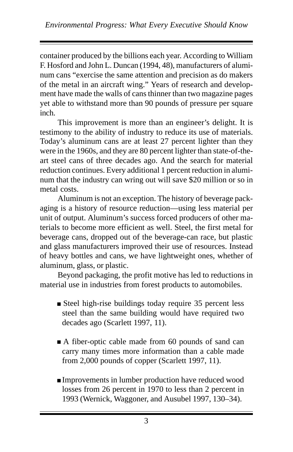container produced by the billions each year. According to William F. Hosford and John L. Duncan (1994, 48), manufacturers of aluminum cans "exercise the same attention and precision as do makers of the metal in an aircraft wing." Years of research and development have made the walls of cans thinner than two magazine pages yet able to withstand more than 90 pounds of pressure per square inch.

This improvement is more than an engineer's delight. It is testimony to the ability of industry to reduce its use of materials. Today's aluminum cans are at least 27 percent lighter than they were in the 1960s, and they are 80 percent lighter than state-of-theart steel cans of three decades ago. And the search for material reduction continues. Every additional 1 percent reduction in aluminum that the industry can wring out will save \$20 million or so in metal costs.

Aluminum is not an exception. The history of beverage packaging is a history of resource reduction—using less material per unit of output. Aluminum's success forced producers of other materials to become more efficient as well. Steel, the first metal for beverage cans, dropped out of the beverage-can race, but plastic and glass manufacturers improved their use of resources. Instead of heavy bottles and cans, we have lightweight ones, whether of aluminum, glass, or plastic.

Beyond packaging, the profit motive has led to reductions in material use in industries from forest products to automobiles.

- Steel high-rise buildings today require 35 percent less steel than the same building would have required two decades ago (Scarlett 1997, 11).
- A fiber-optic cable made from 60 pounds of sand can carry many times more information than a cable made from 2,000 pounds of copper (Scarlett 1997, 11).
- Improvements in lumber production have reduced wood losses from 26 percent in 1970 to less than 2 percent in 1993 (Wernick, Waggoner, and Ausubel 1997, 130–34).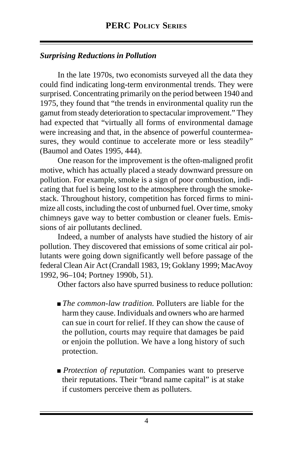#### *Surprising Reductions in Pollution*

In the late 1970s, two economists surveyed all the data they could find indicating long-term environmental trends. They were surprised. Concentrating primarily on the period between 1940 and 1975, they found that "the trends in environmental quality run the gamut from steady deterioration to spectacular improvement." They had expected that "virtually all forms of environmental damage were increasing and that, in the absence of powerful countermeasures, they would continue to accelerate more or less steadily" (Baumol and Oates 1995, 444).

One reason for the improvement is the often-maligned profit motive, which has actually placed a steady downward pressure on pollution. For example, smoke is a sign of poor combustion, indicating that fuel is being lost to the atmosphere through the smokestack. Throughout history, competition has forced firms to minimize all costs, including the cost of unburned fuel. Over time, smoky chimneys gave way to better combustion or cleaner fuels. Emissions of air pollutants declined.

Indeed, a number of analysts have studied the history of air pollution. They discovered that emissions of some critical air pollutants were going down significantly well before passage of the federal Clean Air Act (Crandall 1983, 19; Goklany 1999; MacAvoy 1992, 96–104; Portney 1990b, 51).

Other factors also have spurred business to reduce pollution:

- *The common-law tradition*. Polluters are liable for the harm they cause. Individuals and owners who are harmed can sue in court for relief. If they can show the cause of the pollution, courts may require that damages be paid or enjoin the pollution. We have a long history of such protection.
- *Protection of reputation*. Companies want to preserve their reputations. Their "brand name capital" is at stake if customers perceive them as polluters.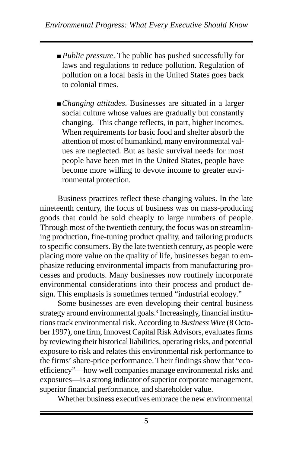- *Public pressure*. The public has pushed successfully for laws and regulations to reduce pollution. Regulation of pollution on a local basis in the United States goes back to colonial times.
- *Changing attitudes*. Businesses are situated in a larger social culture whose values are gradually but constantly changing. This change reflects, in part, higher incomes. When requirements for basic food and shelter absorb the attention of most of humankind, many environmental values are neglected. But as basic survival needs for most people have been met in the United States, people have become more willing to devote income to greater environmental protection.

Business practices reflect these changing values. In the late nineteenth century, the focus of business was on mass-producing goods that could be sold cheaply to large numbers of people. Through most of the twentieth century, the focus was on streamlining production, fine-tuning product quality, and tailoring products to specific consumers. By the late twentieth century, as people were placing more value on the quality of life, businesses began to emphasize reducing environmental impacts from manufacturing processes and products. Many businesses now routinely incorporate environmental considerations into their process and product design. This emphasis is sometimes termed "industrial ecology."

Some businesses are even developing their central business strategy around environmental goals.<sup>3</sup> Increasingly, financial institutions track environmental risk. According to *Business Wire* (8 October 1997), one firm, Innovest Capital Risk Advisors, evaluates firms by reviewing their historical liabilities, operating risks, and potential exposure to risk and relates this environmental risk performance to the firms' share-price performance. Their findings show that "ecoefficiency"—how well companies manage environmental risks and exposures—is a strong indicator of superior corporate management, superior financial performance, and shareholder value.

Whether business executives embrace the new environmental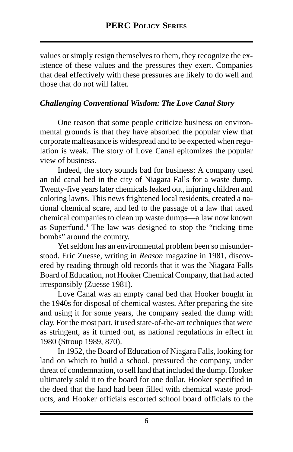values or simply resign themselves to them, they recognize the existence of these values and the pressures they exert. Companies that deal effectively with these pressures are likely to do well and those that do not will falter.

#### *Challenging Conventional Wisdom: The Love Canal Story*

One reason that some people criticize business on environmental grounds is that they have absorbed the popular view that corporate malfeasance is widespread and to be expected when regulation is weak. The story of Love Canal epitomizes the popular view of business.

Indeed, the story sounds bad for business: A company used an old canal bed in the city of Niagara Falls for a waste dump. Twenty-five years later chemicals leaked out, injuring children and coloring lawns. This news frightened local residents, created a national chemical scare, and led to the passage of a law that taxed chemical companies to clean up waste dumps—a law now known as Superfund.<sup>4</sup> The law was designed to stop the "ticking time bombs" around the country.

Yet seldom has an environmental problem been so misunderstood. Eric Zuesse, writing in *Reason* magazine in 1981, discovered by reading through old records that it was the Niagara Falls Board of Education, not Hooker Chemical Company, that had acted irresponsibly (Zuesse 1981).

Love Canal was an empty canal bed that Hooker bought in the 1940s for disposal of chemical wastes. After preparing the site and using it for some years, the company sealed the dump with clay. For the most part, it used state-of-the-art techniques that were as stringent, as it turned out, as national regulations in effect in 1980 (Stroup 1989, 870).

In 1952, the Board of Education of Niagara Falls, looking for land on which to build a school, pressured the company, under threat of condemnation, to sell land that included the dump. Hooker ultimately sold it to the board for one dollar. Hooker specified in the deed that the land had been filled with chemical waste products, and Hooker officials escorted school board officials to the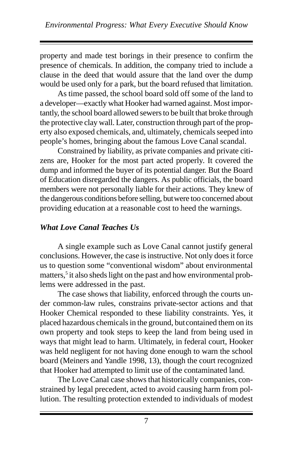property and made test borings in their presence to confirm the presence of chemicals. In addition, the company tried to include a clause in the deed that would assure that the land over the dump would be used only for a park, but the board refused that limitation.

As time passed, the school board sold off some of the land to a developer—exactly what Hooker had warned against. Most importantly, the school board allowed sewers to be built that broke through the protective clay wall. Later, construction through part of the property also exposed chemicals, and, ultimately, chemicals seeped into people's homes, bringing about the famous Love Canal scandal.

Constrained by liability, as private companies and private citizens are, Hooker for the most part acted properly. It covered the dump and informed the buyer of its potential danger. But the Board of Education disregarded the dangers. As public officials, the board members were not personally liable for their actions. They knew of the dangerous conditions before selling, but were too concerned about providing education at a reasonable cost to heed the warnings.

#### *What Love Canal Teaches Us*

A single example such as Love Canal cannot justify general conclusions. However, the case is instructive. Not only does it force us to question some "conventional wisdom" about environmental matters,<sup>5</sup> it also sheds light on the past and how environmental problems were addressed in the past.

The case shows that liability, enforced through the courts under common-law rules, constrains private-sector actions and that Hooker Chemical responded to these liability constraints. Yes, it placed hazardous chemicals in the ground, but contained them on its own property and took steps to keep the land from being used in ways that might lead to harm. Ultimately, in federal court, Hooker was held negligent for not having done enough to warn the school board (Meiners and Yandle 1998, 13), though the court recognized that Hooker had attempted to limit use of the contaminated land.

The Love Canal case shows that historically companies, constrained by legal precedent, acted to avoid causing harm from pollution. The resulting protection extended to individuals of modest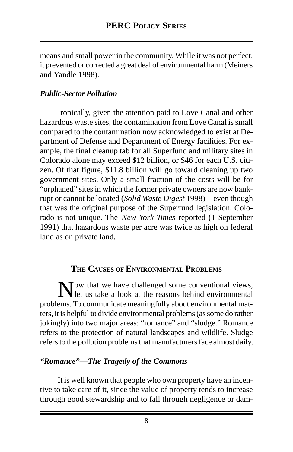means and small power in the community. While it was not perfect, it prevented or corrected a great deal of environmental harm (Meiners and Yandle 1998).

#### *Public-Sector Pollution*

Ironically, given the attention paid to Love Canal and other hazardous waste sites, the contamination from Love Canal is small compared to the contamination now acknowledged to exist at Department of Defense and Department of Energy facilities. For example, the final cleanup tab for all Superfund and military sites in Colorado alone may exceed \$12 billion, or \$46 for each U.S. citizen. Of that figure, \$11.8 billion will go toward cleaning up two government sites. Only a small fraction of the costs will be for "orphaned" sites in which the former private owners are now bankrupt or cannot be located (*Solid Waste Digest* 1998)—even though that was the original purpose of the Superfund legislation. Colorado is not unique. The *New York Times* reported (1 September 1991) that hazardous waste per acre was twice as high on federal land as on private land.

# **THE CAUSES OF ENVIRONMENTAL PROBLEMS**

Now that we have challenged some conventional views, let us take a look at the reasons behind environmental problems. To communicate meaningfully about environmental matters, it is helpful to divide environmental problems (as some do rather jokingly) into two major areas: "romance" and "sludge." Romance refers to the protection of natural landscapes and wildlife. Sludge refers to the pollution problems that manufacturers face almost daily.

#### *"Romance"—The Tragedy of the Commons*

It is well known that people who own property have an incentive to take care of it, since the value of property tends to increase through good stewardship and to fall through negligence or dam-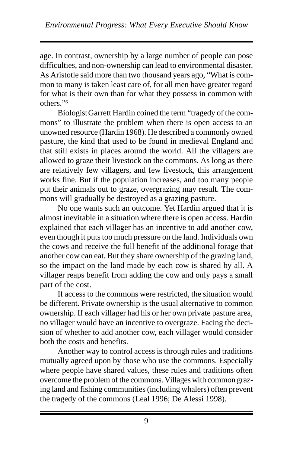age. In contrast, ownership by a large number of people can pose difficulties, and non-ownership can lead to environmental disaster. As Aristotle said more than two thousand years ago, "What is common to many is taken least care of, for all men have greater regard for what is their own than for what they possess in common with others."6

Biologist Garrett Hardin coined the term "tragedy of the commons" to illustrate the problem when there is open access to an unowned resource (Hardin 1968). He described a commonly owned pasture, the kind that used to be found in medieval England and that still exists in places around the world. All the villagers are allowed to graze their livestock on the commons. As long as there are relatively few villagers, and few livestock, this arrangement works fine. But if the population increases, and too many people put their animals out to graze, overgrazing may result. The commons will gradually be destroyed as a grazing pasture.

No one wants such an outcome. Yet Hardin argued that it is almost inevitable in a situation where there is open access. Hardin explained that each villager has an incentive to add another cow, even though it puts too much pressure on the land. Individuals own the cows and receive the full benefit of the additional forage that another cow can eat. But they share ownership of the grazing land, so the impact on the land made by each cow is shared by all. A villager reaps benefit from adding the cow and only pays a small part of the cost.

If access to the commons were restricted, the situation would be different. Private ownership is the usual alternative to common ownership. If each villager had his or her own private pasture area, no villager would have an incentive to overgraze. Facing the decision of whether to add another cow, each villager would consider both the costs and benefits.

Another way to control access is through rules and traditions mutually agreed upon by those who use the commons. Especially where people have shared values, these rules and traditions often overcome the problem of the commons. Villages with common grazing land and fishing communities (including whalers) often prevent the tragedy of the commons (Leal 1996; De Alessi 1998).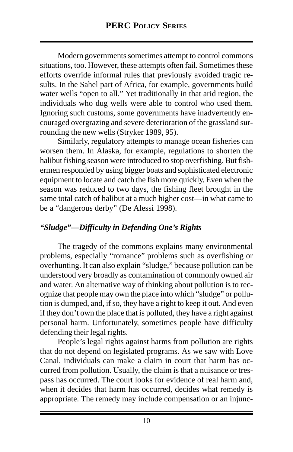Modern governments sometimes attempt to control commons situations, too. However, these attempts often fail. Sometimes these efforts override informal rules that previously avoided tragic results. In the Sahel part of Africa, for example, governments build water wells "open to all." Yet traditionally in that arid region, the individuals who dug wells were able to control who used them. Ignoring such customs, some governments have inadvertently encouraged overgrazing and severe deterioration of the grassland surrounding the new wells (Stryker 1989, 95).

Similarly, regulatory attempts to manage ocean fisheries can worsen them. In Alaska, for example, regulations to shorten the halibut fishing season were introduced to stop overfishing. But fishermen responded by using bigger boats and sophisticated electronic equipment to locate and catch the fish more quickly. Even when the season was reduced to two days, the fishing fleet brought in the same total catch of halibut at a much higher cost—in what came to be a "dangerous derby" (De Alessi 1998).

# *"Sludge"—Difficulty in Defending One's Rights*

The tragedy of the commons explains many environmental problems, especially "romance" problems such as overfishing or overhunting. It can also explain "sludge," because pollution can be understood very broadly as contamination of commonly owned air and water. An alternative way of thinking about pollution is to recognize that people may own the place into which "sludge" or pollution is dumped, and, if so, they have a right to keep it out. And even if they don't own the place that is polluted, they have a right against personal harm. Unfortunately, sometimes people have difficulty defending their legal rights.

People's legal rights against harms from pollution are rights that do not depend on legislated programs. As we saw with Love Canal, individuals can make a claim in court that harm has occurred from pollution. Usually, the claim is that a nuisance or trespass has occurred. The court looks for evidence of real harm and, when it decides that harm has occurred, decides what remedy is appropriate. The remedy may include compensation or an injunc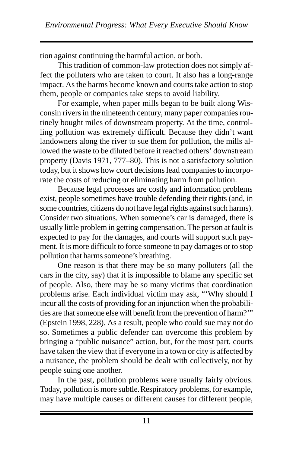tion against continuing the harmful action, or both.

This tradition of common-law protection does not simply affect the polluters who are taken to court. It also has a long-range impact. As the harms become known and courts take action to stop them, people or companies take steps to avoid liability.

For example, when paper mills began to be built along Wisconsin rivers in the nineteenth century, many paper companies routinely bought miles of downstream property. At the time, controlling pollution was extremely difficult. Because they didn't want landowners along the river to sue them for pollution, the mills allowed the waste to be diluted before it reached others' downstream property (Davis 1971, 777–80). This is not a satisfactory solution today, but it shows how court decisions lead companies to incorporate the costs of reducing or eliminating harm from pollution.

Because legal processes are costly and information problems exist, people sometimes have trouble defending their rights (and, in some countries, citizens do not have legal rights against such harms). Consider two situations. When someone's car is damaged, there is usually little problem in getting compensation. The person at fault is expected to pay for the damages, and courts will support such payment. It is more difficult to force someone to pay damages or to stop pollution that harms someone's breathing.

One reason is that there may be so many polluters (all the cars in the city, say) that it is impossible to blame any specific set of people. Also, there may be so many victims that coordination problems arise. Each individual victim may ask, "'Why should I incur all the costs of providing for an injunction when the probabilities are that someone else will benefit from the prevention of harm?'" (Epstein 1998, 228). As a result, people who could sue may not do so. Sometimes a public defender can overcome this problem by bringing a "public nuisance" action, but, for the most part, courts have taken the view that if everyone in a town or city is affected by a nuisance, the problem should be dealt with collectively, not by people suing one another.

In the past, pollution problems were usually fairly obvious. Today, pollution is more subtle. Respiratory problems, for example, may have multiple causes or different causes for different people,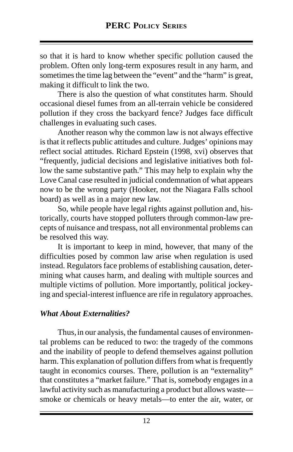so that it is hard to know whether specific pollution caused the problem. Often only long-term exposures result in any harm, and sometimes the time lag between the "event" and the "harm" is great, making it difficult to link the two.

There is also the question of what constitutes harm. Should occasional diesel fumes from an all-terrain vehicle be considered pollution if they cross the backyard fence? Judges face difficult challenges in evaluating such cases.

Another reason why the common law is not always effective is that it reflects public attitudes and culture. Judges' opinions may reflect social attitudes. Richard Epstein (1998, xvi) observes that "frequently, judicial decisions and legislative initiatives both follow the same substantive path." This may help to explain why the Love Canal case resulted in judicial condemnation of what appears now to be the wrong party (Hooker, not the Niagara Falls school board) as well as in a major new law.

So, while people have legal rights against pollution and, historically, courts have stopped polluters through common-law precepts of nuisance and trespass, not all environmental problems can be resolved this way.

It is important to keep in mind, however, that many of the difficulties posed by common law arise when regulation is used instead. Regulators face problems of establishing causation, determining what causes harm, and dealing with multiple sources and multiple victims of pollution. More importantly, political jockeying and special-interest influence are rife in regulatory approaches.

#### *What About Externalities?*

Thus, in our analysis, the fundamental causes of environmental problems can be reduced to two: the tragedy of the commons and the inability of people to defend themselves against pollution harm. This explanation of pollution differs from what is frequently taught in economics courses. There, pollution is an "externality" that constitutes a "market failure." That is, somebody engages in a lawful activity such as manufacturing a product but allows waste smoke or chemicals or heavy metals—to enter the air, water, or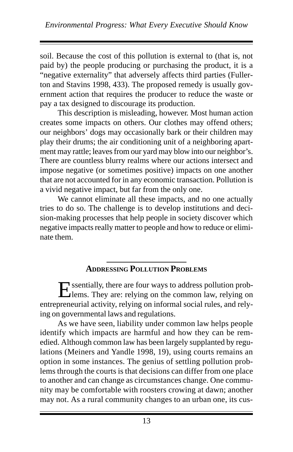soil. Because the cost of this pollution is external to (that is, not paid by) the people producing or purchasing the product, it is a "negative externality" that adversely affects third parties (Fullerton and Stavins 1998, 433). The proposed remedy is usually government action that requires the producer to reduce the waste or pay a tax designed to discourage its production.

This description is misleading, however. Most human action creates some impacts on others. Our clothes may offend others; our neighbors' dogs may occasionally bark or their children may play their drums; the air conditioning unit of a neighboring apartment may rattle; leaves from our yard may blow into our neighbor's. There are countless blurry realms where our actions intersect and impose negative (or sometimes positive) impacts on one another that are not accounted for in any economic transaction. Pollution is a vivid negative impact, but far from the only one.

We cannot eliminate all these impacts, and no one actually tries to do so. The challenge is to develop institutions and decision-making processes that help people in society discover which negative impacts really matter to people and how to reduce or eliminate them.

# **ADDRESSING POLLUTION PROBLEMS**

Essentially, there are four ways to address pollution prob-lems. They are: relying on the common law, relying on entrepreneurial activity, relying on informal social rules, and relying on governmental laws and regulations.

As we have seen, liability under common law helps people identify which impacts are harmful and how they can be remedied. Although common law has been largely supplanted by regulations (Meiners and Yandle 1998, 19), using courts remains an option in some instances. The genius of settling pollution problems through the courts is that decisions can differ from one place to another and can change as circumstances change. One community may be comfortable with roosters crowing at dawn; another may not. As a rural community changes to an urban one, its cus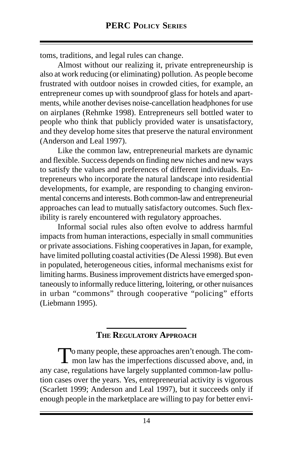toms, traditions, and legal rules can change.

Almost without our realizing it, private entrepreneurship is also at work reducing (or eliminating) pollution. As people become frustrated with outdoor noises in crowded cities, for example, an entrepreneur comes up with soundproof glass for hotels and apartments, while another devises noise-cancellation headphones for use on airplanes (Rehmke 1998). Entrepreneurs sell bottled water to people who think that publicly provided water is unsatisfactory, and they develop home sites that preserve the natural environment (Anderson and Leal 1997).

Like the common law, entrepreneurial markets are dynamic and flexible. Success depends on finding new niches and new ways to satisfy the values and preferences of different individuals. Entrepreneurs who incorporate the natural landscape into residential developments, for example, are responding to changing environmental concerns and interests. Both common-law and entrepreneurial approaches can lead to mutually satisfactory outcomes. Such flexibility is rarely encountered with regulatory approaches.

Informal social rules also often evolve to address harmful impacts from human interactions, especially in small communities or private associations. Fishing cooperatives in Japan, for example, have limited polluting coastal activities (De Alessi 1998). But even in populated, heterogeneous cities, informal mechanisms exist for limiting harms. Business improvement districts have emerged spontaneously to informally reduce littering, loitering, or other nuisances in urban "commons" through cooperative "policing" efforts (Liebmann 1995).

# **THE REGULATORY APPROACH**

To many people, these approaches aren't enough. The com-<br>mon law has the imperfections discussed above, and, in any case, regulations have largely supplanted common-law pollution cases over the years. Yes, entrepreneurial activity is vigorous (Scarlett 1999; Anderson and Leal 1997), but it succeeds only if enough people in the marketplace are willing to pay for better envi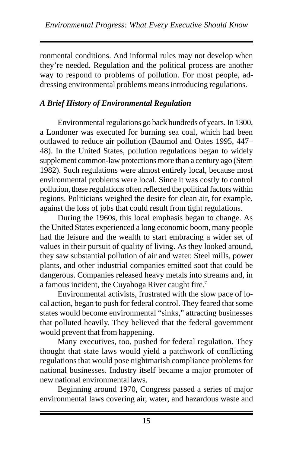ronmental conditions. And informal rules may not develop when they're needed. Regulation and the political process are another way to respond to problems of pollution. For most people, addressing environmental problems means introducing regulations.

# *A Brief History of Environmental Regulation*

Environmental regulations go back hundreds of years. In 1300, a Londoner was executed for burning sea coal, which had been outlawed to reduce air pollution (Baumol and Oates 1995, 447– 48). In the United States, pollution regulations began to widely supplement common-law protections more than a century ago (Stern 1982). Such regulations were almost entirely local, because most environmental problems were local. Since it was costly to control pollution, these regulations often reflected the political factors within regions. Politicians weighed the desire for clean air, for example, against the loss of jobs that could result from tight regulations.

During the 1960s, this local emphasis began to change. As the United States experienced a long economic boom, many people had the leisure and the wealth to start embracing a wider set of values in their pursuit of quality of living. As they looked around, they saw substantial pollution of air and water. Steel mills, power plants, and other industrial companies emitted soot that could be dangerous. Companies released heavy metals into streams and, in a famous incident, the Cuyahoga River caught fire.7

Environmental activists, frustrated with the slow pace of local action, began to push for federal control. They feared that some states would become environmental "sinks," attracting businesses that polluted heavily. They believed that the federal government would prevent that from happening.

Many executives, too, pushed for federal regulation. They thought that state laws would yield a patchwork of conflicting regulations that would pose nightmarish compliance problems for national businesses. Industry itself became a major promoter of new national environmental laws.

Beginning around 1970, Congress passed a series of major environmental laws covering air, water, and hazardous waste and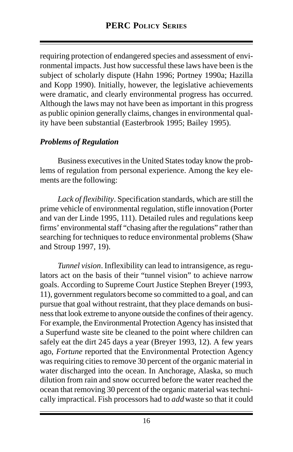requiring protection of endangered species and assessment of environmental impacts. Just how successful these laws have been is the subject of scholarly dispute (Hahn 1996; Portney 1990a; Hazilla and Kopp 1990). Initially, however, the legislative achievements were dramatic, and clearly environmental progress has occurred. Although the laws may not have been as important in this progress as public opinion generally claims, changes in environmental quality have been substantial (Easterbrook 1995; Bailey 1995).

#### *Problems of Regulation*

Business executives in the United States today know the problems of regulation from personal experience. Among the key elements are the following:

*Lack of flexibility*. Specification standards, which are still the prime vehicle of environmental regulation, stifle innovation (Porter and van der Linde 1995, 111). Detailed rules and regulations keep firms' environmental staff "chasing after the regulations" rather than searching for techniques to reduce environmental problems (Shaw and Stroup 1997, 19).

*Tunnel vision*. Inflexibility can lead to intransigence, as regulators act on the basis of their "tunnel vision" to achieve narrow goals. According to Supreme Court Justice Stephen Breyer (1993, 11), government regulators become so committed to a goal, and can pursue that goal without restraint, that they place demands on business that look extreme to anyone outside the confines of their agency. For example, the Environmental Protection Agency has insisted that a Superfund waste site be cleaned to the point where children can safely eat the dirt 245 days a year (Breyer 1993, 12). A few years ago, *Fortune* reported that the Environmental Protection Agency was requiring cities to remove 30 percent of the organic material in water discharged into the ocean. In Anchorage, Alaska, so much dilution from rain and snow occurred before the water reached the ocean that removing 30 percent of the organic material was technically impractical. Fish processors had to *add* waste so that it could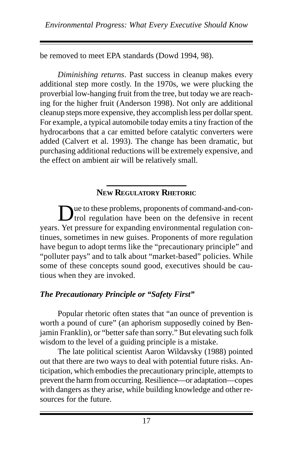be removed to meet EPA standards (Dowd 1994, 98).

*Diminishing returns*. Past success in cleanup makes every additional step more costly. In the 1970s, we were plucking the proverbial low-hanging fruit from the tree, but today we are reaching for the higher fruit (Anderson 1998). Not only are additional cleanup steps more expensive, they accomplish less per dollar spent. For example, a typical automobile today emits a tiny fraction of the hydrocarbons that a car emitted before catalytic converters were added (Calvert et al. 1993). The change has been dramatic, but purchasing additional reductions will be extremely expensive, and the effect on ambient air will be relatively small.

# **NEW REGULATORY RHETORIC**

Due to these problems, proponents of command-and-con-trol regulation have been on the defensive in recent years. Yet pressure for expanding environmental regulation continues, sometimes in new guises. Proponents of more regulation have begun to adopt terms like the "precautionary principle" and "polluter pays" and to talk about "market-based" policies. While some of these concepts sound good, executives should be cautious when they are invoked.

# *The Precautionary Principle or "Safety First"*

Popular rhetoric often states that "an ounce of prevention is worth a pound of cure" (an aphorism supposedly coined by Benjamin Franklin), or "better safe than sorry." But elevating such folk wisdom to the level of a guiding principle is a mistake.

The late political scientist Aaron Wildavsky (1988) pointed out that there are two ways to deal with potential future risks. Anticipation, which embodies the precautionary principle, attempts to prevent the harm from occurring. Resilience—or adaptation—copes with dangers as they arise, while building knowledge and other resources for the future.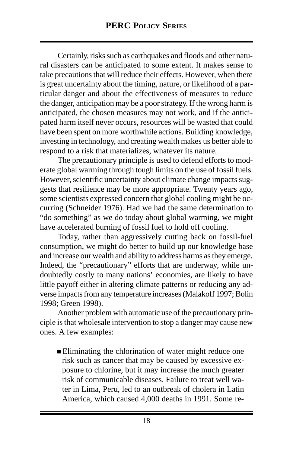Certainly, risks such as earthquakes and floods and other natural disasters can be anticipated to some extent. It makes sense to take precautions that will reduce their effects. However, when there is great uncertainty about the timing, nature, or likelihood of a particular danger and about the effectiveness of measures to reduce the danger, anticipation may be a poor strategy. If the wrong harm is anticipated, the chosen measures may not work, and if the anticipated harm itself never occurs, resources will be wasted that could have been spent on more worthwhile actions. Building knowledge, investing in technology, and creating wealth makes us better able to respond to a risk that materializes, whatever its nature.

The precautionary principle is used to defend efforts to moderate global warming through tough limits on the use of fossil fuels. However, scientific uncertainty about climate change impacts suggests that resilience may be more appropriate. Twenty years ago, some scientists expressed concern that global cooling might be occurring (Schneider 1976). Had we had the same determination to "do something" as we do today about global warming, we might have accelerated burning of fossil fuel to hold off cooling.

Today, rather than aggressively cutting back on fossil-fuel consumption, we might do better to build up our knowledge base and increase our wealth and ability to address harms as they emerge. Indeed, the "precautionary" efforts that are underway, while undoubtedly costly to many nations' economies, are likely to have little payoff either in altering climate patterns or reducing any adverse impacts from any temperature increases (Malakoff 1997; Bolin 1998; Green 1998).

Another problem with automatic use of the precautionary principle is that wholesale intervention to stop a danger may cause new ones. A few examples:

■ Eliminating the chlorination of water might reduce one risk such as cancer that may be caused by excessive exposure to chlorine, but it may increase the much greater risk of communicable diseases. Failure to treat well water in Lima, Peru, led to an outbreak of cholera in Latin America, which caused 4,000 deaths in 1991. Some re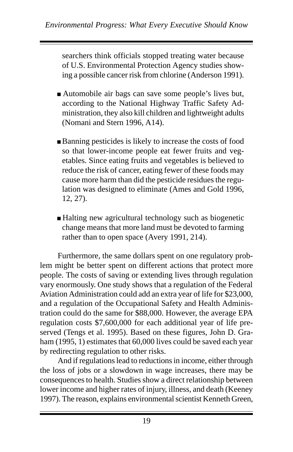searchers think officials stopped treating water because of U.S. Environmental Protection Agency studies showing a possible cancer risk from chlorine (Anderson 1991).

- Automobile air bags can save some people's lives but, according to the National Highway Traffic Safety Administration, they also kill children and lightweight adults (Nomani and Stern 1996, A14).
- Banning pesticides is likely to increase the costs of food so that lower-income people eat fewer fruits and vegetables. Since eating fruits and vegetables is believed to reduce the risk of cancer, eating fewer of these foods may cause more harm than did the pesticide residues the regulation was designed to eliminate (Ames and Gold 1996, 12, 27).
- Halting new agricultural technology such as biogenetic change means that more land must be devoted to farming rather than to open space (Avery 1991, 214).

Furthermore, the same dollars spent on one regulatory problem might be better spent on different actions that protect more people. The costs of saving or extending lives through regulation vary enormously. One study shows that a regulation of the Federal Aviation Administration could add an extra year of life for \$23,000, and a regulation of the Occupational Safety and Health Administration could do the same for \$88,000. However, the average EPA regulation costs \$7,600,000 for each additional year of life preserved (Tengs et al. 1995). Based on these figures, John D. Graham (1995, 1) estimates that 60,000 lives could be saved each year by redirecting regulation to other risks.

And if regulations lead to reductions in income, either through the loss of jobs or a slowdown in wage increases, there may be consequences to health. Studies show a direct relationship between lower income and higher rates of injury, illness, and death (Keeney 1997). The reason, explains environmental scientist Kenneth Green,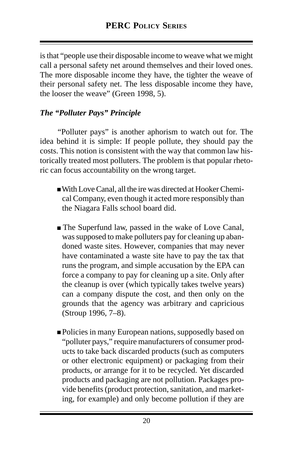is that "people use their disposable income to weave what we might call a personal safety net around themselves and their loved ones. The more disposable income they have, the tighter the weave of their personal safety net. The less disposable income they have, the looser the weave" (Green 1998, 5).

# *The "Polluter Pays" Principle*

"Polluter pays" is another aphorism to watch out for. The idea behind it is simple: If people pollute, they should pay the costs. This notion is consistent with the way that common law historically treated most polluters. The problem is that popular rhetoric can focus accountability on the wrong target.

- With Love Canal, all the ire was directed at Hooker Chemical Company, even though it acted more responsibly than the Niagara Falls school board did.
- The Superfund law, passed in the wake of Love Canal, was supposed to make polluters pay for cleaning up abandoned waste sites. However, companies that may never have contaminated a waste site have to pay the tax that runs the program, and simple accusation by the EPA can force a company to pay for cleaning up a site. Only after the cleanup is over (which typically takes twelve years) can a company dispute the cost, and then only on the grounds that the agency was arbitrary and capricious (Stroup 1996, 7–8).
- Policies in many European nations, supposedly based on "polluter pays," require manufacturers of consumer products to take back discarded products (such as computers or other electronic equipment) or packaging from their products, or arrange for it to be recycled. Yet discarded products and packaging are not pollution. Packages provide benefits (product protection, sanitation, and marketing, for example) and only become pollution if they are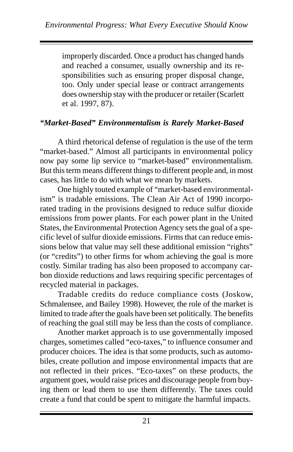improperly discarded. Once a product has changed hands and reached a consumer, usually ownership and its responsibilities such as ensuring proper disposal change, too. Only under special lease or contract arrangements does ownership stay with the producer or retailer (Scarlett et al. 1997, 87).

# *"Market-Based" Environmentalism is Rarely Market-Based*

A third rhetorical defense of regulation is the use of the term "market-based." Almost all participants in environmental policy now pay some lip service to "market-based" environmentalism. But this term means different things to different people and, in most cases, has little to do with what we mean by markets.

One highly touted example of "market-based environmentalism" is tradable emissions. The Clean Air Act of 1990 incorporated trading in the provisions designed to reduce sulfur dioxide emissions from power plants. For each power plant in the United States, the Environmental Protection Agency sets the goal of a specific level of sulfur dioxide emissions. Firms that can reduce emissions below that value may sell these additional emission "rights" (or "credits") to other firms for whom achieving the goal is more costly. Similar trading has also been proposed to accompany carbon dioxide reductions and laws requiring specific percentages of recycled material in packages.

Tradable credits do reduce compliance costs (Joskow, Schmalensee, and Bailey 1998). However, the role of the market is limited to trade after the goals have been set politically. The benefits of reaching the goal still may be less than the costs of compliance.

Another market approach is to use governmentally imposed charges, sometimes called "eco-taxes," to influence consumer and producer choices. The idea is that some products, such as automobiles, create pollution and impose environmental impacts that are not reflected in their prices. "Eco-taxes" on these products, the argument goes, would raise prices and discourage people from buying them or lead them to use them differently. The taxes could create a fund that could be spent to mitigate the harmful impacts.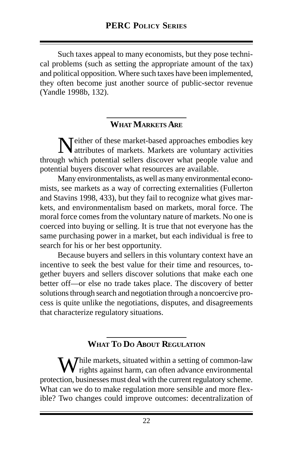Such taxes appeal to many economists, but they pose technical problems (such as setting the appropriate amount of the tax) and political opposition. Where such taxes have been implemented, they often become just another source of public-sector revenue (Yandle 1998b, 132).

# **WHAT MARKETS ARE**

Neither of these market-based approaches embodies key attributes of markets. Markets are voluntary activities through which potential sellers discover what people value and potential buyers discover what resources are available.

Many environmentalists, as well as many environmental economists, see markets as a way of correcting externalities (Fullerton and Stavins 1998, 433), but they fail to recognize what gives markets, and environmentalism based on markets, moral force. The moral force comes from the voluntary nature of markets. No one is coerced into buying or selling. It is true that not everyone has the same purchasing power in a market, but each individual is free to search for his or her best opportunity.

Because buyers and sellers in this voluntary context have an incentive to seek the best value for their time and resources, together buyers and sellers discover solutions that make each one better off—or else no trade takes place. The discovery of better solutions through search and negotiation through a noncoercive process is quite unlike the negotiations, disputes, and disagreements that characterize regulatory situations.

# **WHAT TO DO ABOUT REGULATION**

**X** Thile markets, situated within a setting of common-law rights against harm, can often advance environmental protection, businesses must deal with the current regulatory scheme. What can we do to make regulation more sensible and more flexible? Two changes could improve outcomes: decentralization of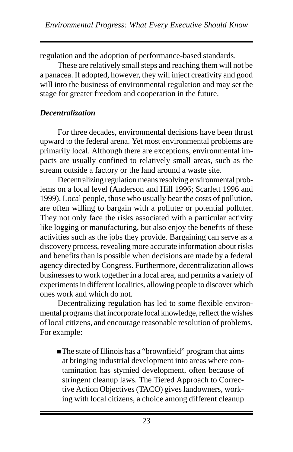regulation and the adoption of performance-based standards.

These are relatively small steps and reaching them will not be a panacea. If adopted, however, they will inject creativity and good will into the business of environmental regulation and may set the stage for greater freedom and cooperation in the future.

# *Decentralization*

For three decades, environmental decisions have been thrust upward to the federal arena. Yet most environmental problems are primarily local. Although there are exceptions, environmental impacts are usually confined to relatively small areas, such as the stream outside a factory or the land around a waste site.

Decentralizing regulation means resolving environmental problems on a local level (Anderson and Hill 1996; Scarlett 1996 and 1999). Local people, those who usually bear the costs of pollution, are often willing to bargain with a polluter or potential polluter. They not only face the risks associated with a particular activity like logging or manufacturing, but also enjoy the benefits of these activities such as the jobs they provide. Bargaining can serve as a discovery process, revealing more accurate information about risks and benefits than is possible when decisions are made by a federal agency directed by Congress. Furthermore, decentralization allows businesses to work together in a local area, and permits a variety of experiments in different localities, allowing people to discover which ones work and which do not.

Decentralizing regulation has led to some flexible environmental programs that incorporate local knowledge, reflect the wishes of local citizens, and encourage reasonable resolution of problems. For example:

■ The state of Illinois has a "brownfield" program that aims at bringing industrial development into areas where contamination has stymied development, often because of stringent cleanup laws. The Tiered Approach to Corrective Action Objectives (TACO) gives landowners, working with local citizens, a choice among different cleanup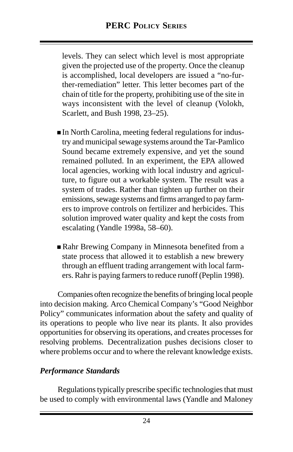levels. They can select which level is most appropriate given the projected use of the property. Once the cleanup is accomplished, local developers are issued a "no-further-remediation" letter. This letter becomes part of the chain of title for the property, prohibiting use of the site in ways inconsistent with the level of cleanup (Volokh, Scarlett, and Bush 1998, 23–25).

- In North Carolina, meeting federal regulations for industry and municipal sewage systems around the Tar-Pamlico Sound became extremely expensive, and yet the sound remained polluted. In an experiment, the EPA allowed local agencies, working with local industry and agriculture, to figure out a workable system. The result was a system of trades. Rather than tighten up further on their emissions, sewage systems and firms arranged to pay farmers to improve controls on fertilizer and herbicides. This solution improved water quality and kept the costs from escalating (Yandle 1998a, 58–60).
- Rahr Brewing Company in Minnesota benefited from a state process that allowed it to establish a new brewery through an effluent trading arrangement with local farmers. Rahr is paying farmers to reduce runoff (Peplin 1998).

Companies often recognize the benefits of bringing local people into decision making. Arco Chemical Company's "Good Neighbor Policy" communicates information about the safety and quality of its operations to people who live near its plants. It also provides opportunities for observing its operations, and creates processes for resolving problems. Decentralization pushes decisions closer to where problems occur and to where the relevant knowledge exists.

# *Performance Standards*

Regulations typically prescribe specific technologies that must be used to comply with environmental laws (Yandle and Maloney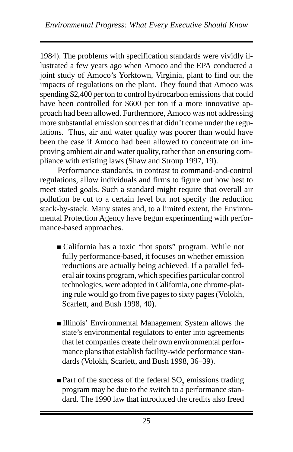1984). The problems with specification standards were vividly illustrated a few years ago when Amoco and the EPA conducted a joint study of Amoco's Yorktown, Virginia, plant to find out the impacts of regulations on the plant. They found that Amoco was spending \$2,400 per ton to control hydrocarbon emissions that could have been controlled for \$600 per ton if a more innovative approach had been allowed. Furthermore, Amoco was not addressing more substantial emission sources that didn't come under the regulations. Thus, air and water quality was poorer than would have been the case if Amoco had been allowed to concentrate on improving ambient air and water quality, rather than on ensuring compliance with existing laws (Shaw and Stroup 1997, 19).

Performance standards, in contrast to command-and-control regulations, allow individuals and firms to figure out how best to meet stated goals. Such a standard might require that overall air pollution be cut to a certain level but not specify the reduction stack-by-stack. Many states and, to a limited extent, the Environmental Protection Agency have begun experimenting with performance-based approaches.

- California has a toxic "hot spots" program. While not fully performance-based, it focuses on whether emission reductions are actually being achieved. If a parallel federal air toxins program, which specifies particular control technologies, were adopted in California, one chrome-plating rule would go from five pages to sixty pages (Volokh, Scarlett, and Bush 1998, 40).
- Illinois' Environmental Management System allows the state's environmental regulators to enter into agreements that let companies create their own environmental performance plans that establish facility-wide performance standards (Volokh, Scarlett, and Bush 1998, 36–39).
- $\blacksquare$  Part of the success of the federal SO<sub>2</sub> emissions trading program may be due to the switch to a performance standard. The 1990 law that introduced the credits also freed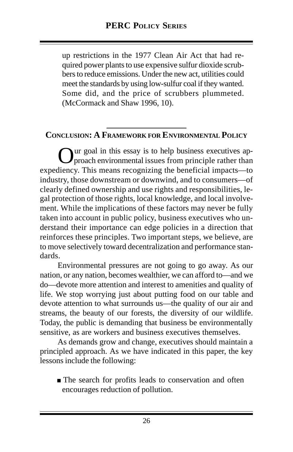up restrictions in the 1977 Clean Air Act that had required power plants to use expensive sulfur dioxide scrubbers to reduce emissions. Under the new act, utilities could meet the standards by using low-sulfur coal if they wanted. Some did, and the price of scrubbers plummeted. (McCormack and Shaw 1996, 10).

# **CONCLUSION: A FRAMEWORK FOR ENVIRONMENTAL POLICY**

Our goal in this essay is to help business executives approach environmental issues from principle rather than expediency. This means recognizing the beneficial impacts—to industry, those downstream or downwind, and to consumers—of clearly defined ownership and use rights and responsibilities, legal protection of those rights, local knowledge, and local involvement. While the implications of these factors may never be fully taken into account in public policy, business executives who understand their importance can edge policies in a direction that reinforces these principles. Two important steps, we believe, are to move selectively toward decentralization and performance standards.

Environmental pressures are not going to go away. As our nation, or any nation, becomes wealthier, we can afford to—and we do—devote more attention and interest to amenities and quality of life. We stop worrying just about putting food on our table and devote attention to what surrounds us—the quality of our air and streams, the beauty of our forests, the diversity of our wildlife. Today, the public is demanding that business be environmentally sensitive, as are workers and business executives themselves.

As demands grow and change, executives should maintain a principled approach. As we have indicated in this paper, the key lessons include the following:

■ The search for profits leads to conservation and often encourages reduction of pollution.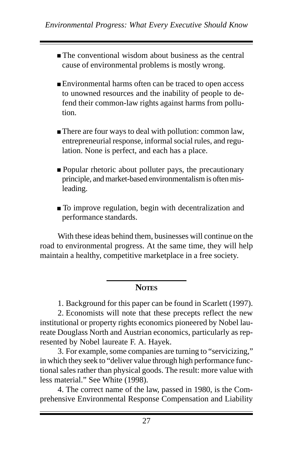- The conventional wisdom about business as the central cause of environmental problems is mostly wrong.
- Environmental harms often can be traced to open access to unowned resources and the inability of people to defend their common-law rights against harms from pollution.
- There are four ways to deal with pollution: common law, entrepreneurial response, informal social rules, and regulation. None is perfect, and each has a place.
- Popular rhetoric about polluter pays, the precautionary principle, and market-based environmentalism is often misleading.
- To improve regulation, begin with decentralization and performance standards.

With these ideas behind them, businesses will continue on the road to environmental progress. At the same time, they will help maintain a healthy, competitive marketplace in a free society.

# **NOTES**

1. Background for this paper can be found in Scarlett (1997).

2. Economists will note that these precepts reflect the new institutional or property rights economics pioneered by Nobel laureate Douglass North and Austrian economics, particularly as represented by Nobel laureate F. A. Hayek.

3. For example, some companies are turning to "servicizing," in which they seek to "deliver value through high performance functional sales rather than physical goods. The result: more value with less material." See White (1998).

4. The correct name of the law, passed in 1980, is the Comprehensive Environmental Response Compensation and Liability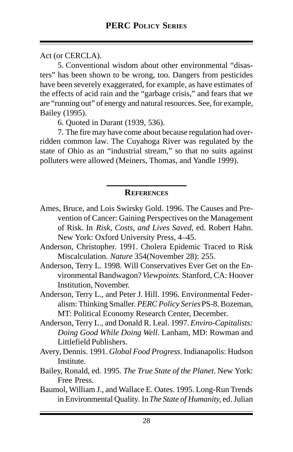Act (or CERCLA).

5. Conventional wisdom about other environmental "disasters" has been shown to be wrong, too. Dangers from pesticides have been severely exaggerated, for example, as have estimates of the effects of acid rain and the "garbage crisis," and fears that we are "running out" of energy and natural resources. See, for example, Bailey (1995).

6. Quoted in Durant (1939, 536).

7. The fire may have come about because regulation had overridden common law. The Cuyahoga River was regulated by the state of Ohio as an "industrial stream," so that no suits against polluters were allowed (Meiners, Thomas, and Yandle 1999).

#### **REFERENCES**

- Ames, Bruce, and Lois Swirsky Gold. 1996. The Causes and Prevention of Cancer: Gaining Perspectives on the Management of Risk. In *Risk, Costs, and Lives Saved*, ed. Robert Hahn. New York: Oxford University Press, 4–45.
- Anderson, Christopher. 1991. Cholera Epidemic Traced to Risk Miscalculation. *Nature* 354(November 28): 255.
- Anderson, Terry L. 1998. Will Conservatives Ever Get on the Environmental Bandwagon? *Viewpoints.* Stanford, CA: Hoover Institution, November.
- Anderson, Terry L., and Peter J. Hill. 1996. Environmental Federalism: Thinking Smaller. *PERC Policy Series* PS-8. Bozeman, MT: Political Economy Research Center, December.
- Anderson, Terry L., and Donald R. Leal. 1997. *Enviro-Capitalists: Doing Good While Doing Well*. Lanham, MD: Rowman and Littlefield Publishers.
- Avery, Dennis. 1991. *Global Food Progress.* Indianapolis: Hudson Institute.
- Bailey, Ronald, ed. 1995. *The True State of the Planet*. New York: Free Press.
- Baumol, William J., and Wallace E. Oates. 1995. Long-Run Trends in Environmental Quality. In *The State of Humanity*, ed. Julian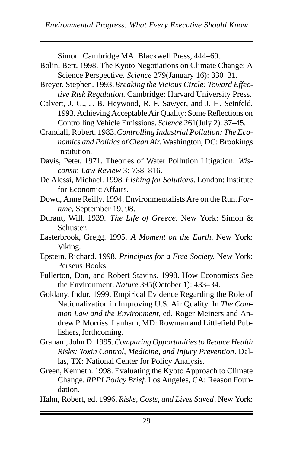Simon. Cambridge MA: Blackwell Press, 444–69.

- Bolin, Bert. 1998. The Kyoto Negotiations on Climate Change: A Science Perspective. *Science* 279(January 16): 330–31.
- Breyer, Stephen. 1993. *Breaking the Vicious Circle: Toward Effective Risk Regulation*. Cambridge: Harvard University Press.
- Calvert, J. G., J. B. Heywood, R. F. Sawyer, and J. H. Seinfeld. 1993. Achieving Acceptable Air Quality: Some Reflections on Controlling Vehicle Emissions. *Science* 261(July 2): 37–45.
- Crandall, Robert. 1983. *Controlling Industrial Pollution: The Economics and Politics of Clean Air.* Washington, DC: Brookings Institution.
- Davis, Peter. 1971. Theories of Water Pollution Litigation. *Wisconsin Law Review* 3: 738–816.
- De Alessi, Michael. 1998. *Fishing for Solutions*. London: Institute for Economic Affairs.
- Dowd, Anne Reilly. 1994. Environmentalists Are on the Run. *Fortune,* September 19, 98.
- Durant, Will. 1939. *The Life of Greece*. New York: Simon & Schuster.
- Easterbrook, Gregg. 1995. *A Moment on the Earth*. New York: Viking.
- Epstein, Richard. 1998. *Principles for a Free Society.* New York: Perseus Books.
- Fullerton, Don, and Robert Stavins. 1998. How Economists See the Environment. *Nature* 395(October 1): 433–34.
- Goklany, Indur. 1999. Empirical Evidence Regarding the Role of Nationalization in Improving U.S. Air Quality. In *The Common Law and the Environment*, ed. Roger Meiners and Andrew P. Morriss. Lanham, MD: Rowman and Littlefield Publishers, forthcoming.
- Graham, John D. 1995. *Comparing Opportunities to Reduce Health Risks: Toxin Control, Medicine, and Injury Prevention*. Dallas, TX: National Center for Policy Analysis.
- Green, Kenneth. 1998. Evaluating the Kyoto Approach to Climate Change. *RPPI Policy Brief*. Los Angeles, CA: Reason Foundation.
- Hahn, Robert, ed. 1996. *Risks, Costs, and Lives Saved*. New York: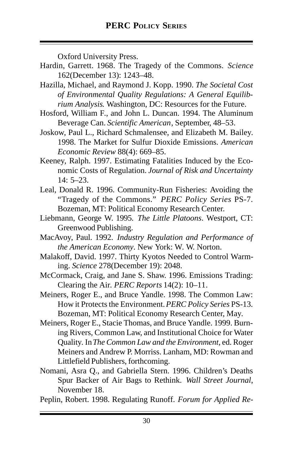Oxford University Press.

- Hardin, Garrett. 1968. The Tragedy of the Commons. *Science* 162(December 13): 1243–48.
- Hazilla, Michael, and Raymond J. Kopp. 1990. *The Societal Cost of Environmental Quality Regulations: A General Equilibrium Analysis*. Washington, DC: Resources for the Future.
- Hosford, William F., and John L. Duncan. 1994. The Aluminum Beverage Can. *Scientific American*, September, 48–53.
- Joskow, Paul L., Richard Schmalensee, and Elizabeth M. Bailey. 1998. The Market for Sulfur Dioxide Emissions. *American Economic Review* 88(4): 669–85.
- Keeney, Ralph. 1997. Estimating Fatalities Induced by the Economic Costs of Regulation. *Journal of Risk and Uncertainty* 14: 5–23.
- Leal, Donald R. 1996. Community-Run Fisheries: Avoiding the "Tragedy of the Commons." *PERC Policy Series* PS-7. Bozeman, MT: Political Economy Research Center.
- Liebmann, George W. 1995. *The Little Platoons*. Westport, CT: Greenwood Publishing.
- MacAvoy, Paul. 1992. *Industry Regulation and Performance of the American Economy*. New York: W. W. Norton.
- Malakoff, David. 1997. Thirty Kyotos Needed to Control Warming. *Science* 278(December 19): 2048.
- McCormack, Craig, and Jane S. Shaw. 1996. Emissions Trading: Clearing the Air*. PERC Reports* 14(2): 10–11.
- Meiners, Roger E., and Bruce Yandle. 1998. The Common Law: How it Protects the Environment. *PERC Policy Series* PS-13. Bozeman, MT: Political Economy Research Center, May.
- Meiners, Roger E., Stacie Thomas, and Bruce Yandle. 1999. Burning Rivers, Common Law, and Institutional Choice for Water Quality. In *The Common Law and the Environment*, ed. Roger Meiners and Andrew P. Morriss. Lanham, MD: Rowman and Littlefield Publishers, forthcoming.
- Nomani, Asra Q., and Gabriella Stern. 1996. Children's Deaths Spur Backer of Air Bags to Rethink. *Wall Street Journal*, November 18.

Peplin, Robert. 1998. Regulating Runoff. *Forum for Applied Re-*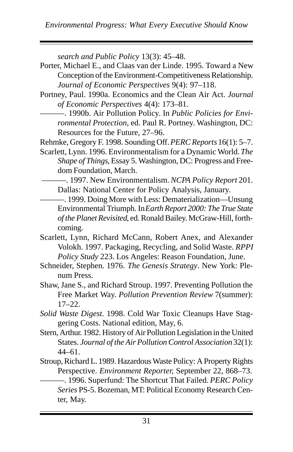*search and Public Policy* 13(3): 45–48.

- Porter, Michael E., and Claas van der Linde. 1995. Toward a New Conception of the Environment-Competitiveness Relationship. *Journal of Economic Perspectives* 9(4): 97–118.
- Portney, Paul. 1990a. Economics and the Clean Air Act. *Journal of Economic Perspectives* 4(4): 173–81.
	- ———. 1990b. Air Pollution Policy. In *Public Policies for Environmental Protection*, ed. Paul R. Portney. Washington, DC: Resources for the Future, 27–96.
- Rehmke, Gregory F. 1998. Sounding Off. *PERC Reports* 16(1): 5–7.
- Scarlett, Lynn. 1996. Environmentalism for a Dynamic World. *The Shape of Things*, Essay 5. Washington, DC: Progress and Freedom Foundation, March.
	- ———. 1997. New Environmentalism. *NCPA Policy Report* 201. Dallas: National Center for Policy Analysis, January.
	- ———. 1999. Doing More with Less: Dematerialization—Unsung Environmental Triumph. In *Earth Report 2000: The True State of the Planet Revisited*, ed. Ronald Bailey. McGraw-Hill, forthcoming.
- Scarlett, Lynn, Richard McCann, Robert Anex, and Alexander Volokh. 1997. Packaging, Recycling, and Solid Waste. *RPPI Policy Study* 223. Los Angeles: Reason Foundation, June.
- Schneider, Stephen. 1976. *The Genesis Strategy*. New York: Plenum Press.
- Shaw, Jane S., and Richard Stroup. 1997. Preventing Pollution the Free Market Way. *Pollution Prevention Review* 7(summer): 17–22.
- *Solid Waste Digest*. 1998. Cold War Toxic Cleanups Have Staggering Costs. National edition, May, 6.
- Stern, Arthur. 1982. History of Air Pollution Legislation in the United States. *Journal of the Air Pollution Control Association* 32(1): 44–61.
- Stroup, Richard L. 1989. Hazardous Waste Policy: A Property Rights Perspective. *Environment Reporter,* September 22, 868–73.

———. 1996. Superfund: The Shortcut That Failed. *PERC Policy Series* PS-5. Bozeman, MT: Political Economy Research Center, May.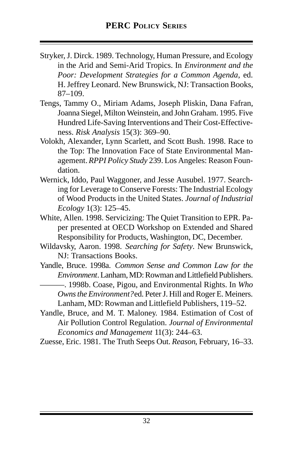- Stryker, J. Dirck. 1989. Technology, Human Pressure, and Ecology in the Arid and Semi-Arid Tropics. In *Environment and the Poor: Development Strategies for a Common Agenda*, ed. H. Jeffrey Leonard. New Brunswick, NJ: Transaction Books, 87–109.
- Tengs, Tammy O., Miriam Adams, Joseph Pliskin, Dana Fafran, Joanna Siegel, Milton Weinstein, and John Graham. 1995. Five Hundred Life-Saving Interventions and Their Cost-Effectiveness. *Risk Analysis* 15(3): 369–90.
- Volokh, Alexander, Lynn Scarlett, and Scott Bush. 1998. Race to the Top: The Innovation Face of State Environmental Management. *RPPI Policy Study* 239. Los Angeles: Reason Foundation.
- Wernick, Iddo, Paul Waggoner, and Jesse Ausubel. 1977. Searching for Leverage to Conserve Forests: The Industrial Ecology of Wood Products in the United States. *Journal of Industrial Ecology* 1(3): 125–45.
- White, Allen. 1998. Servicizing: The Quiet Transition to EPR. Paper presented at OECD Workshop on Extended and Shared Responsibility for Products, Washington, DC, December.
- Wildavsky, Aaron. 1998. *Searching for Safety*. New Brunswick, NJ: Transactions Books.
- Yandle, Bruce. 1998a. *Common Sense and Common Law for the Environment*. Lanham, MD: Rowman and Littlefield Publishers. ———. 1998b. Coase, Pigou, and Environmental Rights. In *Who Owns the Environment?* ed. Peter J. Hill and Roger E. Meiners. Lanham, MD: Rowman and Littlefield Publishers, 119–52.
- Yandle, Bruce, and M. T. Maloney. 1984. Estimation of Cost of Air Pollution Control Regulation. *Journal of Environmental Economics and Management* 11(3): 244–63.
- Zuesse, Eric. 1981. The Truth Seeps Out. *Reason*, February, 16–33.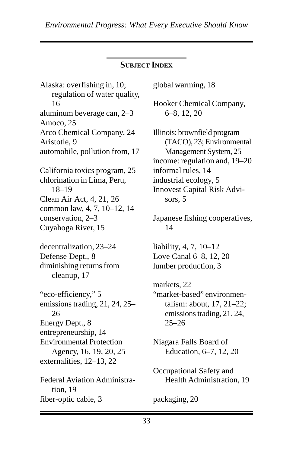# **SUBJECT INDEX**

Alaska: overfishing in, 10; regulation of water quality, 16 aluminum beverage can, 2–3 Amoco, 25 Arco Chemical Company, 24 Aristotle, 9 automobile, pollution from, 17 California toxics program, 25 chlorination in Lima, Peru, 18–19 Clean Air Act, 4, 21, 26 common law, 4, 7, 10–12, 14 conservation, 2–3 Cuyahoga River, 15 decentralization, 23–24 Defense Dept., 8 diminishing returns from cleanup, 17 "eco-efficiency," 5 emissions trading, 21, 24, 25– 26 Energy Dept., 8 entrepreneurship, 14 Environmental Protection Agency, 16, 19, 20, 25 externalities, 12–13, 22 Federal Aviation Administration, 19 fiber-optic cable, 3

global warming, 18

Hooker Chemical Company, 6–8, 12, 20

Illinois: brownfield program (TACO), 23; Environmental Management System, 25 income: regulation and, 19–20 informal rules, 14 industrial ecology, 5 Innovest Capital Risk Advisors, 5

Japanese fishing cooperatives, 14

liability, 4, 7, 10–12 Love Canal 6–8, 12, 20 lumber production, 3

markets, 22 "market-based" environmentalism: about, 17, 21–22; emissions trading, 21, 24, 25–26

Niagara Falls Board of Education, 6–7, 12, 20

Occupational Safety and Health Administration, 19

packaging, 20